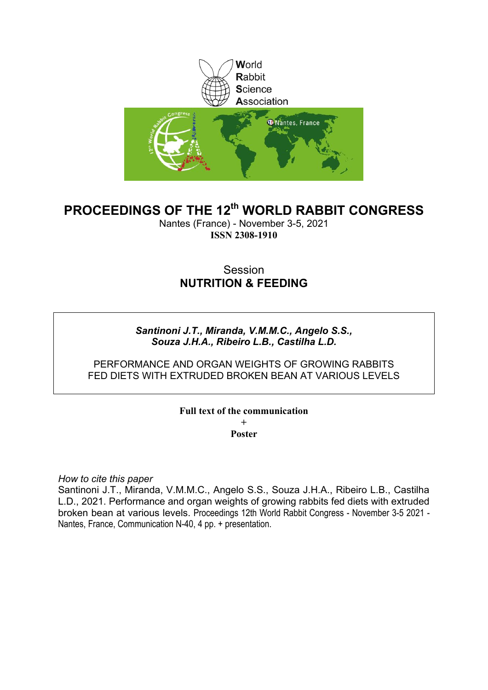

# **PROCEEDINGS OF THE 12th WORLD RABBIT CONGRESS**

Nantes (France) - November 3-5, 2021 **ISSN 2308-1910**

# Session **NUTRITION & FEEDING**

## *Santinoni J.T., Miranda, V.M.M.C., Angelo S.S., Souza J.H.A., Ribeiro L.B., Castilha L.D.*

## PERFORMANCE AND ORGAN WEIGHTS OF GROWING RABBITS FED DIETS WITH EXTRUDED BROKEN BEAN AT VARIOUS LEVELS

### **Full text of the communication + Poster**

*How to cite this paper*

Santinoni J.T., Miranda, V.M.M.C., Angelo S.S., Souza J.H.A., Ribeiro L.B., Castilha L.D., 2021. Performance and organ weights of growing rabbits fed diets with extruded broken bean at various levels. Proceedings 12th World Rabbit Congress - November 3-5 2021 - Nantes, France, Communication N-40, 4 pp. + presentation.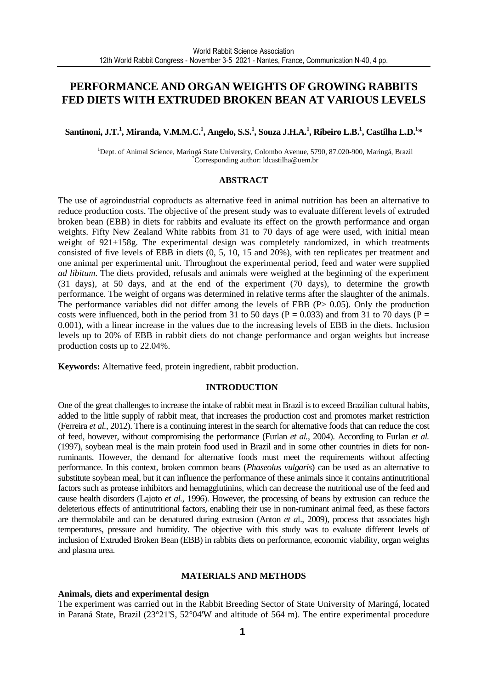# **PERFORMANCE AND ORGAN WEIGHTS OF GROWING RABBITS FED DIETS WITH EXTRUDED BROKEN BEAN AT VARIOUS LEVELS**

### **Santinoni, J.T.<sup>1</sup> , Miranda, V.M.M.C.<sup>1</sup> , Angelo, S.S.<sup>1</sup> , Souza J.H.A.<sup>1</sup> , Ribeiro L.B.<sup>1</sup> , Castilha L.D.<sup>1</sup> \***

<sup>1</sup>Dept. of Animal Science, Maringá State University, Colombo Avenue, 5790, 87.020-900, Maringá, Brazil \*Corresponding author: ldcastilha@uem.br

### **ABSTRACT**

The use of agroindustrial coproducts as alternative feed in animal nutrition has been an alternative to reduce production costs. The objective of the present study was to evaluate different levels of extruded broken bean (EBB) in diets for rabbits and evaluate its effect on the growth performance and organ weights. Fifty New Zealand White rabbits from 31 to 70 days of age were used, with initial mean weight of 921±158g. The experimental design was completely randomized, in which treatments consisted of five levels of EBB in diets (0, 5, 10, 15 and 20%), with ten replicates per treatment and one animal per experimental unit. Throughout the experimental period, feed and water were supplied *ad libitum*. The diets provided, refusals and animals were weighed at the beginning of the experiment (31 days), at 50 days, and at the end of the experiment (70 days), to determine the growth performance. The weight of organs was determined in relative terms after the slaughter of the animals. The performance variables did not differ among the levels of EBB (P> 0.05). Only the production costs were influenced, both in the period from 31 to 50 days ( $P = 0.033$ ) and from 31 to 70 days ( $P = 0.033$ ) 0.001), with a linear increase in the values due to the increasing levels of EBB in the diets. Inclusion levels up to 20% of EBB in rabbit diets do not change performance and organ weights but increase production costs up to 22.04%.

**Keywords:** Alternative feed, protein ingredient, rabbit production.

#### **INTRODUCTION**

One of the great challenges to increase the intake of rabbit meat in Brazil is to exceed Brazilian cultural habits, added to the little supply of rabbit meat, that increases the production cost and promotes market restriction (Ferreira *et al.,* 2012). There is a continuing interest in the search for alternative foods that can reduce the cost of feed, however, without compromising the performance (Furlan *et al.*, 2004). According to Furlan *et al.* (1997), soybean meal is the main protein food used in Brazil and in some other countries in diets for nonruminants. However, the demand for alternative foods must meet the requirements without affecting performance. In this context, broken common beans (*Phaseolus vulgaris*) can be used as an alternative to substitute soybean meal, but it can influence the performance of these animals since it contains antinutritional factors such as protease inhibitors and hemagglutinins, which can decrease the nutritional use of the feed and cause health disorders (Lajoto *et al.,* 1996). However, the processing of beans by extrusion can reduce the deleterious effects of antinutritional factors, enabling their use in non-ruminant animal feed, as these factors are thermolabile and can be denatured during extrusion (Anton *et a*l., 2009), process that associates high temperatures, pressure and humidity. The objective with this study was to evaluate different levels of inclusion of Extruded Broken Bean (EBB) in rabbits diets on performance, economic viability, organ weights and plasma urea.

#### **MATERIALS AND METHODS**

#### **Animals, diets and experimental design**

The experiment was carried out in the Rabbit Breeding Sector of State University of Maringá, located in Paraná State, Brazil (23°21'S, 52°04'W and altitude of 564 m). The entire experimental procedure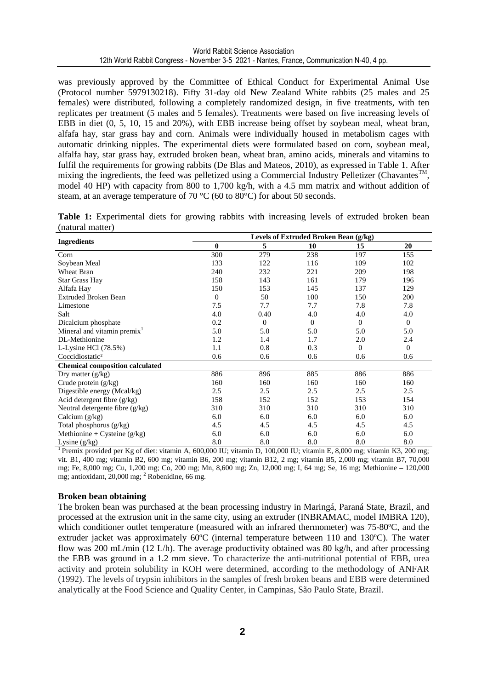was previously approved by the Committee of Ethical Conduct for Experimental Animal Use (Protocol number 5979130218). Fifty 31-day old New Zealand White rabbits (25 males and 25 females) were distributed, following a completely randomized design, in five treatments, with ten replicates per treatment (5 males and 5 females). Treatments were based on five increasing levels of EBB in diet (0, 5, 10, 15 and 20%), with EBB increase being offset by soybean meal, wheat bran, alfafa hay, star grass hay and corn. Animals were individually housed in metabolism cages with automatic drinking nipples. The experimental diets were formulated based on corn, soybean meal, alfalfa hay, star grass hay, extruded broken bean, wheat bran, amino acids, minerals and vitamins to fulfil the requirements for growing rabbits (De Blas and Mateos, 2010), as expressed in Table 1. After mixing the ingredients, the feed was pelletized using a Commercial Industry Pelletizer (Chavantes<sup>TM</sup>, model 40 HP) with capacity from 800 to 1,700 kg/h, with a 4.5 mm matrix and without addition of steam, at an average temperature of 70 °C (60 to 80°C) for about 50 seconds.

**Table 1:** Experimental diets for growing rabbits with increasing levels of extruded broken bean (natural matter)

|                                         |          |          | Levels of Extruded Broken Bean (g/kg) |              |                |
|-----------------------------------------|----------|----------|---------------------------------------|--------------|----------------|
| <b>Ingredients</b>                      | $\bf{0}$ | 5        | 10                                    | 15           | 20             |
| Corn                                    | 300      | 279      | 238                                   | 197          | 155            |
| Soybean Meal                            | 133      | 122      | 116                                   | 109          | 102            |
| Wheat Bran                              | 240      | 232      | 221                                   | 209          | 198            |
| <b>Star Grass Hay</b>                   | 158      | 143      | 161                                   | 179          | 196            |
| Alfafa Hay                              | 150      | 153      | 145                                   | 137          | 129            |
| <b>Extruded Broken Bean</b>             | $\Omega$ | 50       | 100                                   | 150          | 200            |
| Limestone                               | 7.5      | 7.7      | 7.7                                   | 7.8          | 7.8            |
| Salt                                    | 4.0      | 0.40     | 4.0                                   | 4.0          | 4.0            |
| Dicalcium phosphate                     | 0.2      | $\theta$ | $\theta$                              | $\mathbf{0}$ | $\mathbf{0}$   |
| Mineral and vitamin premix <sup>1</sup> | 5.0      | 5.0      | 5.0                                   | 5.0          | 5.0            |
| DL-Methionine                           | 1.2      | 1.4      | 1.7                                   | 2.0          | 2.4            |
| L-Lysine HCl $(78.5%)$                  | 1.1      | 0.8      | 0.3                                   | $\theta$     | $\overline{0}$ |
| Coccidiostatic <sup>2</sup>             | 0.6      | 0.6      | 0.6                                   | 0.6          | 0.6            |
| <b>Chemical composition calculated</b>  |          |          |                                       |              |                |
| Dry matter $(g/kg)$                     | 886      | 896      | 885                                   | 886          | 886            |
| Crude protein $(g/kg)$                  | 160      | 160      | 160                                   | 160          | 160            |
| Digestible energy (Mcal/kg)             | 2.5      | 2.5      | 2.5                                   | 2.5          | 2.5            |
| Acid detergent fibre $(g/kg)$           | 158      | 152      | 152                                   | 153          | 154            |
| Neutral detergente fibre $(g/kg)$       | 310      | 310      | 310                                   | 310          | 310            |
| Calcium $(g/kg)$                        | 6.0      | 6.0      | 6.0                                   | 6.0          | 6.0            |
| Total phosphorus (g/kg)                 | 4.5      | 4.5      | 4.5                                   | 4.5          | 4.5            |
| Methionine + Cysteine $(g/kg)$          | 6.0      | 6.0      | 6.0                                   | 6.0          | 6.0            |
| Lysine $(g/kg)$                         | 8.0      | 8.0      | 8.0                                   | 8.0          | 8.0            |

<sup>1</sup>Premix provided per Kg of diet: vitamin A, 600,000 IU; vitamin D, 100,000 IU; vitamin E, 8,000 mg; vitamin K3, 200 mg; vit. B1, 400 mg; vitamin B2, 600 mg; vitamin B6, 200 mg; vitamin B12, 2 mg; vitamin B5, 2,000 mg; vitamin B7, 70,000 mg; Fe, 8,000 mg; Cu, 1,200 mg; Co, 200 mg; Mn, 8,600 mg; Zn, 12,000 mg; I, 64 mg; Se, 16 mg; Methionine – 120,000 mg; antioxidant, 20,000 mg; <sup>2</sup> Robenidine, 66 mg.

#### **Broken bean obtaining**

The broken bean was purchased at the bean processing industry in Maringá, Paraná State, Brazil, and processed at the extrusion unit in the same city, using an extruder (INBRAMAC, model IMBRA 120), which conditioner outlet temperature (measured with an infrared thermometer) was 75-80ºC, and the extruder jacket was approximately 60ºC (internal temperature between 110 and 130ºC). The water flow was 200 mL/min (12 L/h). The average productivity obtained was 80 kg/h, and after processing the EBB was ground in a 1.2 mm sieve. To characterize the anti-nutritional potential of EBB, urea activity and protein solubility in KOH were determined, according to the methodology of ANFAR (1992). The levels of trypsin inhibitors in the samples of fresh broken beans and EBB were determined analytically at the Food Science and Quality Center, in Campinas, São Paulo State, Brazil.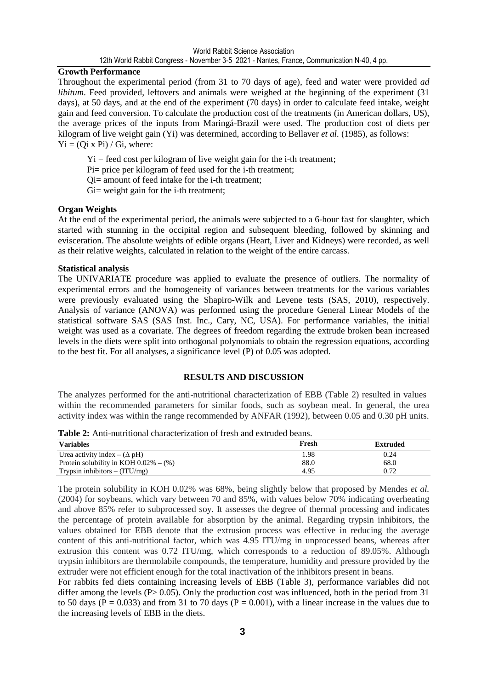### **Growth Performance**

Throughout the experimental period (from 31 to 70 days of age), feed and water were provided *ad libitum*. Feed provided, leftovers and animals were weighed at the beginning of the experiment (31) days), at 50 days, and at the end of the experiment (70 days) in order to calculate feed intake, weight gain and feed conversion. To calculate the production cost of the treatments (in American dollars, U\$), the average prices of the inputs from Maringá-Brazil were used. The production cost of diets per kilogram of live weight gain (Yi) was determined, according to Bellaver *et al.* (1985), as follows:  $Yi = (Qi x Pi) / Gi, where:$ 

 $Yi = feed cost per kilogram of live weight gain for the i-th treatment;$ 

Pi= price per kilogram of feed used for the i-th treatment;

Qi= amount of feed intake for the i-th treatment;

Gi= weight gain for the i-th treatment;

### **Organ Weights**

At the end of the experimental period, the animals were subjected to a 6-hour fast for slaughter, which started with stunning in the occipital region and subsequent bleeding, followed by skinning and evisceration. The absolute weights of edible organs (Heart, Liver and Kidneys) were recorded, as well as their relative weights, calculated in relation to the weight of the entire carcass.

### **Statistical analysis**

The UNIVARIATE procedure was applied to evaluate the presence of outliers. The normality of experimental errors and the homogeneity of variances between treatments for the various variables were previously evaluated using the Shapiro-Wilk and Levene tests (SAS, 2010), respectively. Analysis of variance (ANOVA) was performed using the procedure General Linear Models of the statistical software SAS (SAS Inst. Inc., Cary, NC, USA). For performance variables, the initial weight was used as a covariate. The degrees of freedom regarding the extrude broken bean increased levels in the diets were split into orthogonal polynomials to obtain the regression equations, according to the best fit. For all analyses, a significance level (P) of 0.05 was adopted.

#### **RESULTS AND DISCUSSION**

The analyzes performed for the anti-nutritional characterization of EBB (Table 2) resulted in values within the recommended parameters for similar foods, such as soybean meal. In general, the urea activity index was within the range recommended by ANFAR (1992), between 0.05 and 0.30 pH units.

**Table 2:** Anti-nutritional characterization of fresh and extruded beans.

| <b>Variables</b>                           | Fresh | Extruded |
|--------------------------------------------|-------|----------|
| Urea activity index – $(\Delta pH)$        | . 98  | 0.24     |
| Protein solubility in KOH $0.02\% - (\% )$ | 88.0  | 68.0     |
| Trypsin inhibitors $-$ (ITU/mg)            | 4.95  | 0.72     |

The protein solubility in KOH 0.02% was 68%, being slightly below that proposed by Mendes *et al.* (2004) for soybeans, which vary between 70 and 85%, with values below 70% indicating overheating and above 85% refer to subprocessed soy. It assesses the degree of thermal processing and indicates the percentage of protein available for absorption by the animal. Regarding trypsin inhibitors, the values obtained for EBB denote that the extrusion process was effective in reducing the average content of this anti-nutritional factor, which was 4.95 ITU/mg in unprocessed beans, whereas after extrusion this content was 0.72 ITU/mg, which corresponds to a reduction of 89.05%. Although trypsin inhibitors are thermolabile compounds, the temperature, humidity and pressure provided by the extruder were not efficient enough for the total inactivation of the inhibitors present in beans.

For rabbits fed diets containing increasing levels of EBB (Table 3), performance variables did not differ among the levels ( $P > 0.05$ ). Only the production cost was influenced, both in the period from 31 to 50 days ( $P = 0.033$ ) and from 31 to 70 days ( $P = 0.001$ ), with a linear increase in the values due to the increasing levels of EBB in the diets.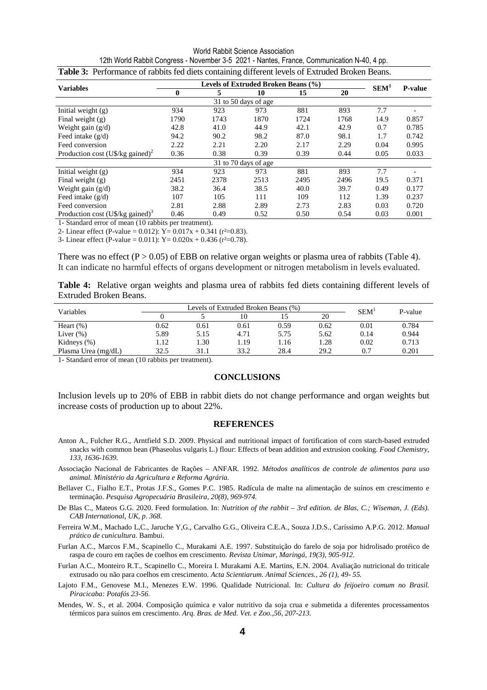World Rabbit Science Association 12th World Rabbit Congress - November 3-5 2021 - Nantes, France, Communication N-40, 4 pp.

| <b>Variables</b>                                  | Levels of Extruded Broken Beans (%) |      |                      |      |      |                  | <b>P-value</b> |
|---------------------------------------------------|-------------------------------------|------|----------------------|------|------|------------------|----------------|
|                                                   | $\bf{0}$                            | 5    | 10                   | 15   | 20   | SEM <sup>1</sup> |                |
|                                                   |                                     |      |                      |      |      |                  |                |
| Initial weight $(g)$                              | 934                                 | 923  | 973                  | 881  | 893  | 7.7              |                |
| Final weight $(g)$                                | 1790                                | 1743 | 1870                 | 1724 | 1768 | 14.9             | 0.857          |
| Weight gain (g/d)                                 | 42.8                                | 41.0 | 44.9                 | 42.1 | 42.9 | 0.7              | 0.785          |
| Feed intake $(g/d)$                               | 94.2                                | 90.2 | 98.2                 | 87.0 | 98.1 | 1.7              | 0.742          |
| Feed conversion                                   | 2.22                                | 2.21 | 2.20                 | 2.17 | 2.29 | 0.04             | 0.995          |
| Production cost $(U\$ {S/kg} gained) <sup>2</sup> | 0.36                                | 0.38 | 0.39                 | 0.39 | 0.44 | 0.05             | 0.033          |
|                                                   |                                     |      | 31 to 70 days of age |      |      |                  |                |
| Initial weight $(g)$                              | 934                                 | 923  | 973                  | 881  | 893  | 7.7              |                |
| Final weight $(g)$                                | 2451                                | 2378 | 2513                 | 2495 | 2496 | 19.5             | 0.371          |
| Weight gain $(g/d)$                               | 38.2                                | 36.4 | 38.5                 | 40.0 | 39.7 | 0.49             | 0.177          |
| Feed intake $(g/d)$                               | 107                                 | 105  | 111                  | 109  | 112  | 1.39             | 0.237          |
| Feed conversion                                   | 2.81                                | 2.88 | 2.89                 | 2.73 | 2.83 | 0.03             | 0.720          |
| Production cost $(U\$/kg$ gained) <sup>3</sup>    | 0.46                                | 0.49 | 0.52                 | 0.50 | 0.54 | 0.03             | 0.001          |

|  | $\frac{1}{2}$ . The motion coupled the removal of $\sigma$ and $\sigma$ is the motion of commutation in $\sigma$ , then |  |
|--|-------------------------------------------------------------------------------------------------------------------------|--|
|  | Table 3: Performance of rabbits fed diets containing different levels of Extruded Broken Beans.                         |  |

1- Standard error of mean (10 rabbits per treatment).

2- Linear effect (P-value = 0.012):  $Y = 0.017x + 0.341$  (r<sup>2</sup>=0.83).

3- Linear effect (P-value =  $0.011$ ): Y =  $0.020x + 0.436$  (r<sup>2</sup>=0.78).

There was no effect  $(P > 0.05)$  of EBB on relative organ weights or plasma urea of rabbits (Table 4). It can indicate no harmful effects of organs development or nitrogen metabolism in levels evaluated.

**Table 4:** Relative organ weights and plasma urea of rabbits fed diets containing different levels of Extruded Broken Beans.

| Variables           |      | Levels of Extruded Broken Beans (%) | SEM <sup>1</sup> | P-value |      |      |       |
|---------------------|------|-------------------------------------|------------------|---------|------|------|-------|
|                     |      |                                     | 10               |         | 20   |      |       |
| Heart $(\%)$        | 0.62 | 0.61                                | 0.61             | 0.59    | 0.62 | 0.01 | 0.784 |
| Liver $(\%)$        | 5.89 | 5.15                                | 4.71             | 5.75    | 5.62 | 0.14 | 0.944 |
| Kidneys $(\%)$      | .12  | .30                                 | 1.19             | . 16    | .28  | 0.02 | 0.713 |
| Plasma Urea (mg/dL) | 32.5 | 31.1                                | 33.2             | 28.4    | 29.2 | 0.7  | 0.201 |

1- Standard error of mean (10 rabbits per treatment).

#### **CONCLUSIONS**

Inclusion levels up to 20% of EBB in rabbit diets do not change performance and organ weights but increase costs of production up to about 22%.

#### **REFERENCES**

- Anton A., Fulcher R.G., Arntfield S.D. 2009. Physical and nutritional impact of fortification of corn starch-based extruded snacks with common bean (Phaseolus vulgaris L.) flour: Effects of bean addition and extrusion cooking. *Food Chemistry*, *133, 1636-1639.*
- Associação Nacional de Fabricantes de Rações ANFAR. 1992. *Métodos analíticos de controle de alimentos para uso animal. Ministério da Agricultura e Reforma Agrária.*
- Bellaver C., Fialho E.T., Protas J.F.S., Gomes P.C. 1985. Radícula de malte na alimentação de suínos em crescimento e terminação. *Pesquisa Agropecuária Brasileira, 20(8), 969-974.*
- De Blas C., Mateos G.G. 2020. Feed formulation. In: *Nutrition of the rabbit 3rd edition. de Blas, C.; Wiseman, J. (Eds). CAB International, UK, p. 368.*
- Ferreira W.M., Machado L,C., Jaruche Y,G., Carvalho G.G., Oliveira C.E.A., Souza J.D.S., Caríssimo A.P.G. 2012. *Manual prático de cunicultura.* Bambui.
- Furlan A.C., Marcos F.M., Scapinello C., Murakami A.E. 1997. Substituição do farelo de soja por hidrolisado protéico de raspa de couro em rações de coelhos em crescimento*. Revista Unimar, Maringá, 19(3), 905-912.*
- Furlan A.C., Monteiro R.T., Scapinello C., Moreira I. Murakami A.E. Martins, E.N. 2004. Avaliação nutricional do triticale extrusado ou não para coelhos em crescimento. *Acta Scientiarum. Animal Sciences., 26 (1), 49- 55.*
- Lajoto F.M., Genovese M.I., Menezes E.W. 1996. Qualidade Nutricional. In: *Cultura do feijoeiro comum no Brasil. Piracicaba: Potafós 23-56.*
- Mendes, W. S., et al. 2004. Composição química e valor nutritivo da soja crua e submetida a diferentes processamentos térmicos para suínos em crescimento. *Arq. Bras. de Med. Vet. e Zoo.,56, 207-213.*